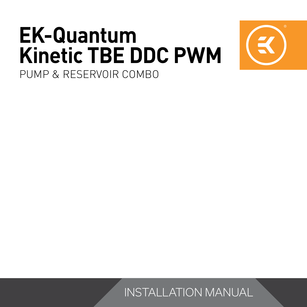# **EK-Quantum Kinetic TBE DDC PWM**



PUMP & RESERVOIR COMBO

INSTALLATION MANUAL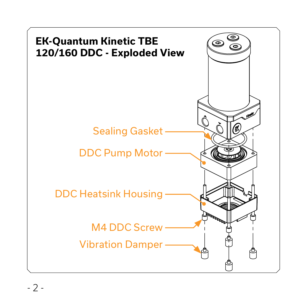

 $-2-$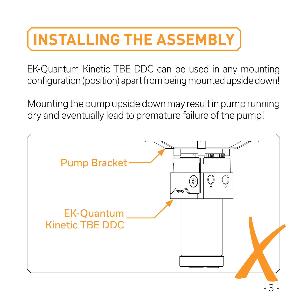### **INSTALLING THE ASSEMBLY**

EK-Quantum Kinetic TBE DDC can be used in any mounting configuration (position) apart from being mounted upside down!

Mounting the pump upside down may result in pump running dry and eventually lead to premature failure of the pump!

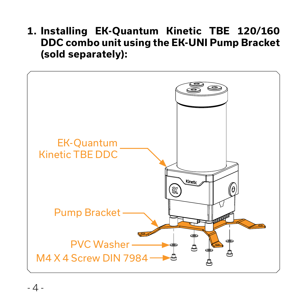**1. Installing EK-Quantum Kinetic TBE 120/160 DDC combo unit using the EK-UNI Pump Bracket (sold separately):**

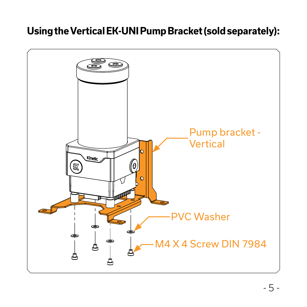#### **Using the Vertical EK-UNI Pump Bracket (sold separately):**

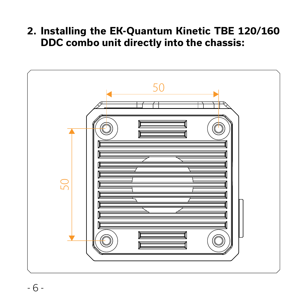**2. Installing the EK-Quantum Kinetic TBE 120/160 DDC combo unit directly into the chassis:**

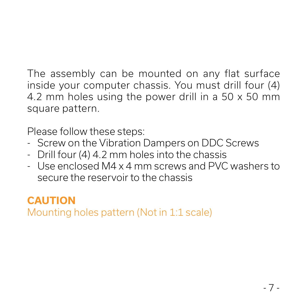The assembly can be mounted on any flat surface inside your computer chassis. You must drill four (4) 4.2 mm holes using the power drill in a 50 x 50 mm square pattern.

Please follow these steps:

- Screw on the Vibration Dampers on DDC Screws
- Drill four (4) 4.2 mm holes into the chassis
- Use enclosed M4 x 4 mm screws and PVC washers to secure the reservoir to the chassis

### **CAUTION**

Mounting holes pattern (Not in 1:1 scale)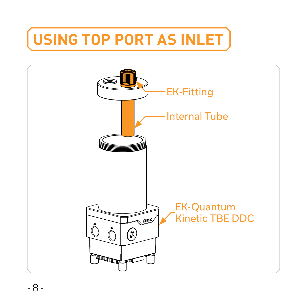### **USING TOP PORT AS INLET**

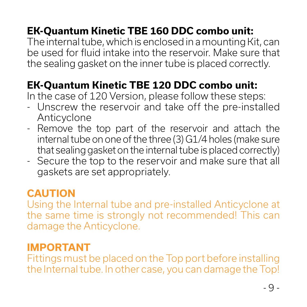### **EK-Quantum Kinetic TBE 160 DDC combo unit:**

The internal tube, which is enclosed in a mounting Kit, can be used for fluid intake into the reservoir. Make sure that the sealing gasket on the inner tube is placed correctly.

### **EK-Quantum Kinetic TBE 120 DDC combo unit:**

In the case of 120 Version, please follow these steps:

- Unscrew the reservoir and take off the pre-installed Anticyclone
- Remove the top part of the reservoir and attach the internal tube on one of the three (3) G1/4 holes (make sure that sealing gasket on the internal tube is placed correctly)
- Secure the top to the reservoir and make sure that all gaskets are set appropriately.

#### **CAUTION**

Using the Internal tube and pre-installed Anticyclone at the same time is strongly not recommended! This can damage the Anticyclone.

#### **IMPORTANT**

Fittings must be placed on the Top port before installing the Internal tube. In other case, you can damage the Top!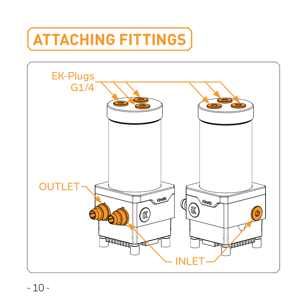# **ATTACHING FITTINGS**

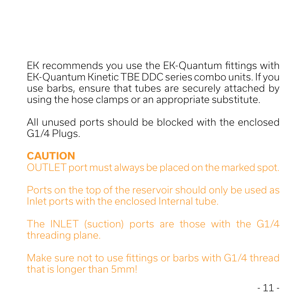EK recommends you use the EK-Quantum fittings with EK-Quantum Kinetic TBE DDC series combo units. If you use barbs, ensure that tubes are securely attached by using the hose clamps or an appropriate substitute.

All unused ports should be blocked with the enclosed G1/4 Plugs.

#### **CAUTION**

OUTLET port must always be placed on the marked spot.

Ports on the top of the reservoir should only be used as Inlet ports with the enclosed Internal tube.

The INLET (suction) ports are those with the G1/4 threading plane.

Make sure not to use fittings or barbs with G1/4 thread that is longer than 5mm!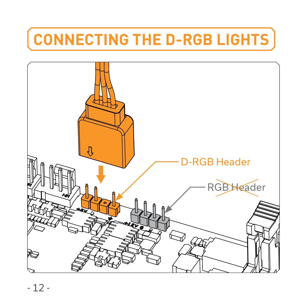### **CONNECTING THE D-RGB LIGHTS**

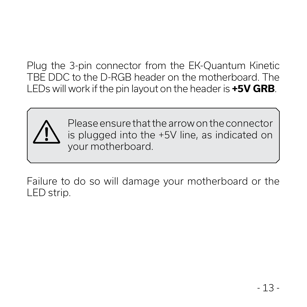Plug the 3-pin connector from the EK-Quantum Kinetic TBE DDC to the D-RGB header on the motherboard. The LEDs will work if the pin layout on the header is **+5V GRB**.



Please ensure that the arrow on the connector is plugged into the +5V line, as indicated on your motherboard.

Failure to do so will damage your motherboard or the LED strip.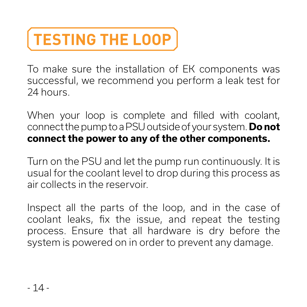# **TESTING THE LOOP**

To make sure the installation of EK components was successful, we recommend you perform a leak test for 24 hours.

When your loop is complete and filled with coolant, connect the pump to a PSU outside of your system. **Do not connect the power to any of the other components.** 

Turn on the PSU and let the pump run continuously. It is usual for the coolant level to drop during this process as air collects in the reservoir.

Inspect all the parts of the loop, and in the case of coolant leaks, fix the issue, and repeat the testing process. Ensure that all hardware is dry before the system is powered on in order to prevent any damage.